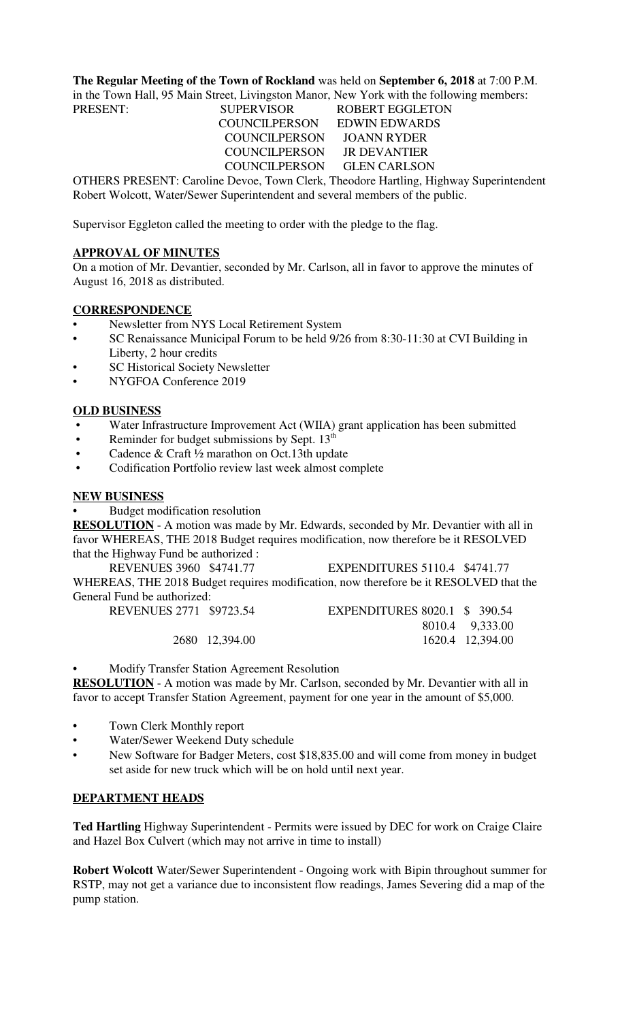**The Regular Meeting of the Town of Rockland** was held on **September 6, 2018** at 7:00 P.M. in the Town Hall, 95 Main Street, Livingston Manor, New York with the following members:

PRESENT: SUPERVISOR ROBERT EGGLETON COUNCILPERSON EDWIN EDWARDS COUNCILPERSON JOANN RYDER COUNCILPERSON JR DEVANTIER COUNCILPERSON GLEN CARLSON

OTHERS PRESENT: Caroline Devoe, Town Clerk, Theodore Hartling, Highway Superintendent Robert Wolcott, Water/Sewer Superintendent and several members of the public.

Supervisor Eggleton called the meeting to order with the pledge to the flag.

#### **APPROVAL OF MINUTES**

On a motion of Mr. Devantier, seconded by Mr. Carlson, all in favor to approve the minutes of August 16, 2018 as distributed.

# **CORRESPONDENCE**

- Newsletter from NYS Local Retirement System
- SC Renaissance Municipal Forum to be held 9/26 from 8:30-11:30 at CVI Building in Liberty, 2 hour credits
- **SC Historical Society Newsletter**
- NYGFOA Conference 2019

# **OLD BUSINESS**

- Water Infrastructure Improvement Act (WIIA) grant application has been submitted
- Reminder for budget submissions by Sept.  $13<sup>th</sup>$
- Cadence & Craft 1/2 marathon on Oct.13th update
- Codification Portfolio review last week almost complete

# **NEW BUSINESS**

• Budget modification resolution

**RESOLUTION** - A motion was made by Mr. Edwards, seconded by Mr. Devantier with all in favor WHEREAS, THE 2018 Budget requires modification, now therefore be it RESOLVED that the Highway Fund be authorized :

REVENUES 3960 \$4741.77 EXPENDITURES 5110.4 \$4741.77 WHEREAS, THE 2018 Budget requires modification, now therefore be it RESOLVED that the General Fund be authorized:

| REVENUES 2771 \$9723.54 |                | EXPENDITURES 8020.1 \$ 390.54 |                  |
|-------------------------|----------------|-------------------------------|------------------|
|                         |                |                               | 8010.4 9,333.00  |
|                         | 2680 12,394.00 |                               | 1620.4 12,394.00 |

• Modify Transfer Station Agreement Resolution

**RESOLUTION** - A motion was made by Mr. Carlson, seconded by Mr. Devantier with all in favor to accept Transfer Station Agreement, payment for one year in the amount of \$5,000.

- Town Clerk Monthly report
- Water/Sewer Weekend Duty schedule
- New Software for Badger Meters, cost \$18,835.00 and will come from money in budget set aside for new truck which will be on hold until next year.

## **DEPARTMENT HEADS**

**Ted Hartling** Highway Superintendent - Permits were issued by DEC for work on Craige Claire and Hazel Box Culvert (which may not arrive in time to install)

**Robert Wolcott** Water/Sewer Superintendent - Ongoing work with Bipin throughout summer for RSTP, may not get a variance due to inconsistent flow readings, James Severing did a map of the pump station.